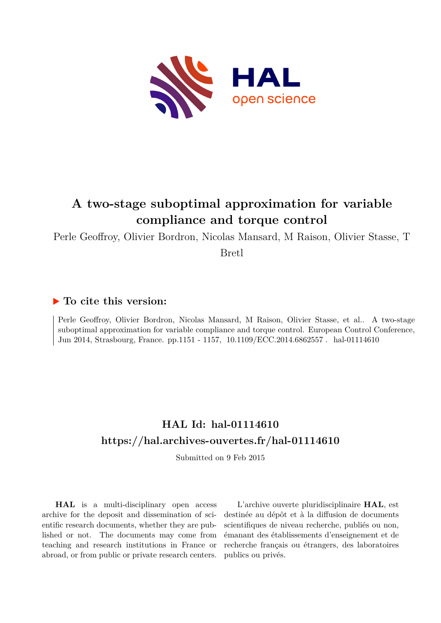

# **A two-stage suboptimal approximation for variable compliance and torque control**

Perle Geoffroy, Olivier Bordron, Nicolas Mansard, M Raison, Olivier Stasse, T

Bretl

# **To cite this version:**

Perle Geoffroy, Olivier Bordron, Nicolas Mansard, M Raison, Olivier Stasse, et al.. A two-stage suboptimal approximation for variable compliance and torque control. European Control Conference, Jun 2014, Strasbourg, France. pp.1151 - 1157,  $10.1109/\mathrm{ECC}.2014.6862557$ . hal-01114610

# **HAL Id: hal-01114610 <https://hal.archives-ouvertes.fr/hal-01114610>**

Submitted on 9 Feb 2015

**HAL** is a multi-disciplinary open access archive for the deposit and dissemination of scientific research documents, whether they are published or not. The documents may come from teaching and research institutions in France or abroad, or from public or private research centers.

L'archive ouverte pluridisciplinaire **HAL**, est destinée au dépôt et à la diffusion de documents scientifiques de niveau recherche, publiés ou non, émanant des établissements d'enseignement et de recherche français ou étrangers, des laboratoires publics ou privés.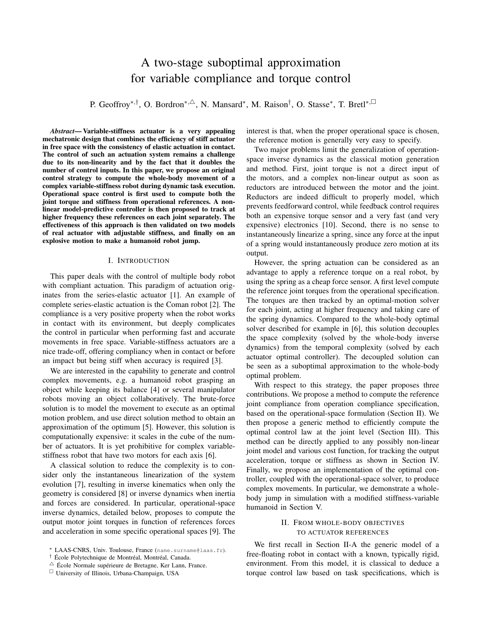# A two-stage suboptimal approximation for variable compliance and torque control

P. Geoffroy\*,<sup>†</sup>, O. Bordron\*,<sup> $\triangle$ </sup>, N. Mansard\*, M. Raison<sup>†</sup>, O. Stasse\*, T. Bretl\*,<sup> $\Box$ </sup>

*Abstract*—Variable-stiffness actuator is a very appealing mechatronic design that combines the efficiency of stiff actuator in free space with the consistency of elastic actuation in contact. The control of such an actuation system remains a challenge due to its non-linearity and by the fact that it doubles the number of control inputs. In this paper, we propose an original control strategy to compute the whole-body movement of a complex variable-stiffness robot during dynamic task execution. Operational space control is first used to compute both the joint torque and stiffness from operational references. A nonlinear model-predictive controller is then proposed to track at higher frequency these references on each joint separately. The effectiveness of this approach is then validated on two models of real actuator with adjustable stiffness, and finally on an explosive motion to make a humanoid robot jump.

#### I. INTRODUCTION

This paper deals with the control of multiple body robot with compliant actuation. This paradigm of actuation originates from the series-elastic actuator [1]. An example of complete series-elastic actuation is the Coman robot [2]. The compliance is a very positive property when the robot works in contact with its environment, but deeply complicates the control in particular when performing fast and accurate movements in free space. Variable-stiffness actuators are a nice trade-off, offering compliancy when in contact or before an impact but being stiff when accuracy is required [3].

We are interested in the capability to generate and control complex movements, e.g. a humanoid robot grasping an object while keeping its balance [4] or several manipulator robots moving an object collaboratively. The brute-force solution is to model the movement to execute as an optimal motion problem, and use direct solution method to obtain an approximation of the optimum [5]. However, this solution is computationally expensive: it scales in the cube of the number of actuators. It is yet prohibitive for complex variablestiffness robot that have two motors for each axis [6].

A classical solution to reduce the complexity is to consider only the instantaneous linearization of the system evolution [7], resulting in inverse kinematics when only the geometry is considered [8] or inverse dynamics when inertia and forces are considered. In particular, operational-space inverse dynamics, detailed below, proposes to compute the output motor joint torques in function of references forces and acceleration in some specific operational spaces [9]. The interest is that, when the proper operational space is chosen, the reference motion is generally very easy to specify.

Two major problems limit the generalization of operationspace inverse dynamics as the classical motion generation and method. First, joint torque is not a direct input of the motors, and a complex non-linear output as soon as reductors are introduced between the motor and the joint. Reductors are indeed difficult to properly model, which prevents feedforward control, while feedback control requires both an expensive torque sensor and a very fast (and very expensive) electronics [10]. Second, there is no sense to instantaneously linearize a spring, since any force at the input of a spring would instantaneously produce zero motion at its output.

However, the spring actuation can be considered as an advantage to apply a reference torque on a real robot, by using the spring as a cheap force sensor. A first level compute the reference joint torques from the operational specification. The torques are then tracked by an optimal-motion solver for each joint, acting at higher frequency and taking care of the spring dynamics. Compared to the whole-body optimal solver described for example in [6], this solution decouples the space complexity (solved by the whole-body inverse dynamics) from the temporal complexity (solved by each actuator optimal controller). The decoupled solution can be seen as a suboptimal approximation to the whole-body optimal problem.

With respect to this strategy, the paper proposes three contributions. We propose a method to compute the reference joint compliance from operation compliance specification, based on the operational-space formulation (Section II). We then propose a generic method to efficiently compute the optimal control law at the joint level (Section III). This method can be directly applied to any possibly non-linear joint model and various cost function, for tracking the output acceleration, torque or stiffness as shown in Section IV. Finally, we propose an implementation of the optimal controller, coupled with the operational-space solver, to produce complex movements. In particular, we demonstrate a wholebody jump in simulation with a modified stiffness-variable humanoid in Section V.

# II. FROM WHOLE-BODY OBJECTIVES TO ACTUATOR REFERENCES

We first recall in Section II-A the generic model of a free-floating robot in contact with a known, typically rigid, environment. From this model, it is classical to deduce a torque control law based on task specifications, which is

<sup>\*</sup> LAAS-CNRS, Univ. Toulouse, France (name.surname@laas.fr).

<sup>&</sup>lt;sup>†</sup> École Polytechnique de Montréal, Montréal, Canada.

 $\triangle$  École Normale supérieure de Bretagne, Ker Lann, France.

 $\Box$  University of Illinois, Urbana-Champaign, USA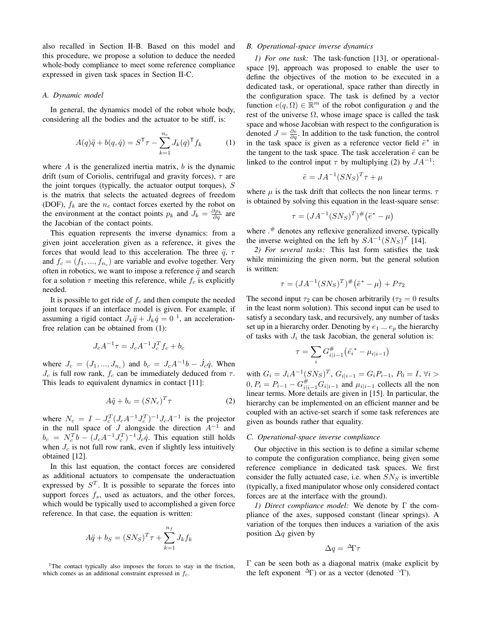also recalled in Section II-B. Based on this model and this procedure, we propose a solution to deduce the needed whole-body compliance to meet some reference compliance expressed in given task spaces in Section II-C.

# A. Dynamic model

In general, the dynamics model of the robot whole body, considering all the bodies and the actuator to be stiff, is:

$$
A(q)\ddot{q} + b(q, \dot{q}) = S^{\mathsf{T}}\tau - \sum_{k=1}^{n_c} J_k(q)^{\mathsf{T}} f_k \tag{1}
$$

where  $A$  is the generalized inertia matrix,  $b$  is the dynamic drift (sum of Coriolis, centrifugal and gravity forces),  $\tau$  are the joint torques (typically, the actuator output torques),  $S$ is the matrix that selects the actuated degrees of freedom (DOF),  $f_k$  are the  $n_c$  contact forces exerted by the robot on the environment at the contact points  $p_k$  and  $J_k = \frac{\partial p_k}{\partial q}$  are the Jacobian of the contact points.

This equation represents the inverse dynamics: from a given joint acceleration given as a reference, it gives the forces that would lead to this acceleration. The three  $\ddot{q}$ ,  $\tau$ and  $f_c = (f_1, ..., f_{n_c})$  are variable and evolve together. Very often in robotics, we want to impose a reference  $\ddot{q}$  and search for a solution  $\tau$  meeting this reference, while  $f_c$  is explicitly needed.

It is possible to get ride of  $f_c$  and then compute the needed joint torques if an interface model is given. For example, if assuming a rigid contact  $J_k \ddot{q} + J_k \dot{q} = 0^{-1}$ , an accelerationfree relation can be obtained from (1):

$$
J_c A^{-1} \tau = J_c A^{-1} J_c^T f_c + b_c
$$

where  $J_c = (J_1, ..., J_{n_c})$  and  $b_c = J_c A^{-1} b - J_c \dot{q}$ . When  $J_c$  is full row rank,  $f_c$  can be immediately deduced from  $\tau$ . This leads to equivalent dynamics in contact [11]:

$$
A\ddot{q} + b_c = (SN_c)^T \tau \tag{2}
$$

where  $N_c = I - J_c^T (J_c A^{-1} J_c^T)^{-1} J_c A^{-1}$  is the projector in the null space of J alongside the direction  $A^{-1}$  and  $b_c = N_c^T b - (J_c A^{-1} J_c^T)^{-1} \dot{J}_c \dot{q}$ . This equation still holds when  $J_c$  is not full row rank, even if slightly less intuitively obtained [12].

In this last equation, the contact forces are considered as additional actuators to compensate the underactuation expressed by  $S<sup>T</sup>$ . It is possible to separate the forces into support forces  $f_s$ , used as actuators, and the other forces, which would be typically used to accomplished a given force reference. In that case, the equation is written:

$$
A\ddot{q} + b_S = (SN_S)^T \tau + \sum_{k=1}^{n_f} J_k f_k
$$

<sup>1</sup>The contact typically also imposes the forces to stay in the friction, which comes as an additional constraint expressed in  $f_c$ .

# B. Operational-space inverse dynamics

1) For one task: The task-function [13], or operationalspace [9], approach was proposed to enable the user to define the objectives of the motion to be executed in a dedicated task, or operational, space rather than directly in the configuration space. The task is defined by a vector function  $e(q, \Omega) \in \mathbb{R}^m$  of the robot configuration q and the rest of the universe  $\Omega$ , whose image space is called the task space and whose Jacobian with respect to the configuration is denoted  $J = \frac{\partial e}{\partial q}$ . In addition to the task function, the control in the task space is given as a reference vector field  $\ddot{e}^*$  in the tangent to the task space. The task acceleration  $\ddot{e}$  can be linked to the control input  $\tau$  by multiplying (2) by  $JA^{-1}$ .

$$
\ddot{z} = JA^{-1}(SN_S)^T \tau + \mu
$$

where  $\mu$  is the task drift that collects the non linear terms.  $\tau$ is obtained by solving this equation in the least-square sense:

$$
\tau = (JA^{-1}(SN_S)^T)^{\#}(\ddot{e}^* - \mu)
$$

where  $.$ <sup>#</sup> denotes any reflexive generalized inverse, typically the inverse weighted on the left by  $SA^{-1}(SN_S)^T$  [14].

2) For several tasks: This last form satisfies the task while minimizing the given norm, but the general solution is written:

$$
\tau = (JA^{-1}(SN_S)^T)^{\#}(\ddot{e}^* - \mu) + P\tau_2
$$

The second input  $\tau_2$  can be chosen arbitrarily ( $\tau_2 = 0$  results in the least norm solution). This second input can be used to satisfy a secondary task, and recursively, any number of tasks set up in a hierarchy order. Denoting by  $e_1 \dots e_p$  the hierarchy of tasks with  $J_i$  the task Jacobian, the general solution is:

$$
\tau = \sum_{i} G_{i|i-1}^{\#} (\ddot{e_i}^* - \mu_{i|i-1})
$$

with  $G_i = J_i A^{-1} (S N_S)^T$ ,  $G_{i|i-1} = G_i P_{i-1}$ ,  $P_0 = I$ ,  $\forall i >$  $0, P_i = P_{i-1} - G_{i|i-1}^{\#} G_{i|i-1}$  and  $\mu_{i|i-1}$  collects all the non linear terms. More details are given in [15]. In particular, the hierarchy can be implemented on an efficient manner and be coupled with an active-set search if some task references are given as bounds rather that equality.

# C. Operational-space inverse compliance

Our objective in this section is to define a similar scheme to compute the configuration compliance, being given some reference compliance in dedicated task spaces. We first consider the fully actuated case, i.e. when  $SN_S$  is invertible (typically, a fixed manipulator whose only considered contact forces are at the interface with the ground).

1) Direct compliance model: We denote by  $\Gamma$  the compliance of the axes, supposed constant (linear springs). A variation of the torques then induces a variation of the axis position  $\Delta q$  given by

$$
\Delta q = \Delta \Gamma \tau
$$

 $\Gamma$  can be seen both as a diagonal matrix (make explicit by the left exponent  $\Delta \Gamma$ ) or as a vector (denoted  $\Delta \Gamma$ ).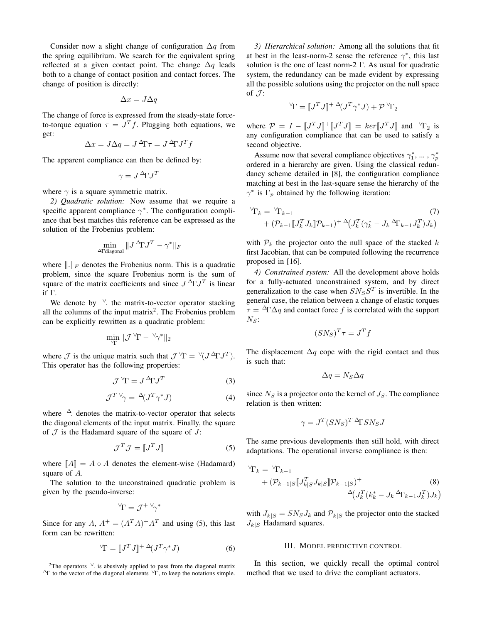Consider now a slight change of configuration  $\Delta q$  from the spring equilibrium. We search for the equivalent spring reflected at a given contact point. The change  $\Delta q$  leads both to a change of contact position and contact forces. The change of position is directly:

$$
\Delta x = J \Delta q
$$

The change of force is expressed from the steady-state forceto-torque equation  $\tau = J^T f$ . Plugging both equations, we get:

$$
\Delta x = J \Delta q = J \, \Delta \Gamma \tau = J \, \Delta \Gamma J^T f
$$

The apparent compliance can then be defined by:

$$
\gamma = J^{\Delta} \Gamma J^T
$$

where  $\gamma$  is a square symmetric matrix.

2) Quadratic solution: Now assume that we require a specific apparent compliance  $\gamma^*$ . The configuration compliance that best matches this reference can be expressed as the solution of the Frobenius problem:

$$
\min_{\Delta \Gamma \text{diagonal}} \|J^{\,\Delta} \Gamma J^T - \gamma^* \|_F
$$

where  $\|.\|_F$  denotes the Frobenius norm. This is a quadratic problem, since the square Frobenius norm is the sum of square of the matrix coefficients and since  $J^{\Delta} \Gamma J^{T}$  is linear if  $\Gamma$ .

We denote by  $\vee$  the matrix-to-vector operator stacking all the columns of the input matrix<sup>2</sup>. The Frobenius problem can be explicitly rewritten as a quadratic problem:

$$
\min_{\forall \Gamma} \|\mathcal{J}^{\vee}\!\Gamma - \mathcal{V}^*\|_2
$$

where  $\mathcal J$  is the unique matrix such that  $\mathcal J^{\vee}\Gamma = {}^{\vee}(J^{\Delta}\Gamma J^T)$ . This operator has the following properties:

$$
\mathcal{J}^{\vee}\Gamma = J^{\Delta}\Gamma J^T \tag{3}
$$

$$
\mathcal{J}^T \vee_{\gamma} = \Delta(J^T \gamma^* J) \tag{4}
$$

where  $\Delta$  denotes the matrix-to-vector operator that selects the diagonal elements of the input matrix. Finally, the square of  $J$  is the Hadamard square of the square of  $J$ :

$$
\mathcal{J}^T \mathcal{J} = [J^T J] \tag{5}
$$

where  $||A|| = A \circ A$  denotes the element-wise (Hadamard) square of  $A$ .

The solution to the unconstrained quadratic problem is given by the pseudo-inverse:

$$
{}^{\vee}\!\Gamma=\mathcal{J}^{+\vee}\gamma^*
$$

Since for any A,  $A^+ = (A^T A)^+ A^T$  and using (5), this last form can be rewritten:

$$
\mathbf{Y} = [J^T J]^{+} \Delta (J^T \gamma^* J) \tag{6}
$$

<sup>2</sup>The operators  $\vee$  is abusively applied to pass from the diagonal matrix  $\Delta\Gamma$  to the vector of the diagonal elements  $\Gamma$ , to keep the notations simple.

3) Hierarchical solution: Among all the solutions that fit at best in the least-norm-2 sense the reference  $\gamma^*$ , this last solution is the one of least norm-2  $\Gamma$ . As usual for quadratic system, the redundancy can be made evident by expressing all the possible solutions using the projector on the null space of  $\mathcal{J}$ :

$$
\mathbf{T} = [J^T J]^{+} \Delta (J^T \gamma^* J) + \mathcal{P} \, {}^{\vee}\! \Gamma_2
$$

where  $\mathcal{P} = I - [J^T J] + [J^T J] = ker [J^T J]$  and  $\Upsilon_2$  is any configuration compliance that can be used to satisfy a second objective.

Assume now that several compliance objectives  $\gamma_1^*$ , ...,  $\gamma_p^*$ ordered in a hierarchy are given. Using the classical redundancy scheme detailed in [8], the configuration compliance matching at best in the last-square sense the hierarchy of the  $\gamma^*$  is  $\Gamma_p$  obtained by the following iteration:

$$
\Psi_{k} = \Psi_{k-1} \tag{7}
$$
\n
$$
+ (\mathcal{P}_{k-1} \llbracket J_{k}^{T} J_{k} \rrbracket \mathcal{P}_{k-1}) + \Delta \left( J_{k}^{T} (\gamma_{k}^{*} - J_{k} \Delta_{\Gamma_{k-1}} J_{k}^{T}) J_{k} \right)
$$

with  $P_k$  the projector onto the null space of the stacked k first Jacobian, that can be computed following the recurrence proposed in  $[16]$ .

4) Constrained system: All the development above holds for a fully-actuated unconstrained system, and by direct generalization to the case when  $S N_S S^T$  is invertible. In the general case, the relation between a change of elastic torques  $\tau = \Delta \Gamma \Delta q$  and contact force f is correlated with the support  $N_{S}$ :

$$
(SN_S)^T \tau = J^T f
$$

The displacement  $\Delta q$  cope with the rigid contact and thus is such that:

$$
\Delta q = N_S \Delta q
$$

since  $N<sub>S</sub>$  is a projector onto the kernel of  $J<sub>S</sub>$ . The compliance relation is then written:

$$
\gamma = J^T(SN_S)^T \, {}^{\Delta}\! \Gamma S N_S J
$$

The same previous developments then still hold, with direct adaptations. The operational inverse compliance is then:

$$
\Psi_{k} = \Psi_{k-1} + (\mathcal{P}_{k-1|S}[\![J_{k|S}^T J_{k|S}]\!] \mathcal{P}_{k-1|S})^+\n\qquad (8)
$$
\n
$$
\Delta \left( J_{k}^T (k_k^* - J_k \Delta \Gamma_{k-1} J_k^T) J_k \right)
$$

with  $J_{k|S} = SN_S J_k$  and  $\mathcal{P}_{k|S}$  the projector onto the stacked  $J_{k|S}$  Hadamard squares.

#### **III. MODEL PREDICTIVE CONTROL**

In this section, we quickly recall the optimal control method that we used to drive the compliant actuators.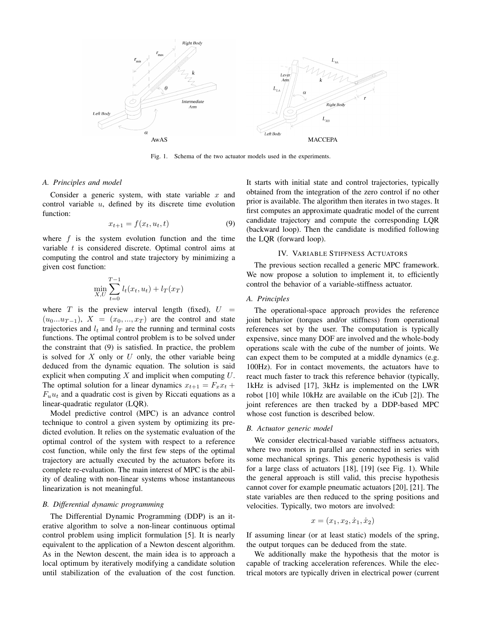

Fig. 1. Schema of the two actuator models used in the experiments.

# A. Principles and model

Consider a generic system, with state variable  $x$  and control variable  $u$ , defined by its discrete time evolution function:

$$
x_{t+1} = f(x_t, u_t, t) \tag{9}
$$

where  $f$  is the system evolution function and the time variable  $t$  is considered discrete. Optimal control aims at computing the control and state trajectory by minimizing a given cost function:

$$
\min_{X,U} \sum_{t=0}^{T-1} l_t(x_t, u_t) + l_T(x_T)
$$

where  $T$  is the preview interval length (fixed),  $U =$  $(u_0...u_{T-1}), X = (x_0,...,x_T)$  are the control and state trajectories and  $l_t$  and  $l_T$  are the running and terminal costs functions. The optimal control problem is to be solved under the constraint that (9) is satisfied. In practice, the problem is solved for  $X$  only or  $U$  only, the other variable being deduced from the dynamic equation. The solution is said explicit when computing  $X$  and implicit when computing  $U$ . The optimal solution for a linear dynamics  $x_{t+1} = F_x x_t +$  $F_u u_t$  and a quadratic cost is given by Riccati equations as a linear-quadratic regulator (LQR).

Model predictive control (MPC) is an advance control technique to control a given system by optimizing its predicted evolution. It relies on the systematic evaluation of the optimal control of the system with respect to a reference cost function, while only the first few steps of the optimal trajectory are actually executed by the actuators before its complete re-evaluation. The main interest of MPC is the ability of dealing with non-linear systems whose instantaneous linearization is not meaningful.

#### B. Differential dynamic programming

The Differential Dynamic Programming (DDP) is an iterative algorithm to solve a non-linear continuous optimal control problem using implicit formulation [5]. It is nearly equivalent to the application of a Newton descent algorithm. As in the Newton descent, the main idea is to approach a local optimum by iteratively modifying a candidate solution until stabilization of the evaluation of the cost function. It starts with initial state and control trajectories, typically obtained from the integration of the zero control if no other prior is available. The algorithm then iterates in two stages. It first computes an approximate quadratic model of the current candidate trajectory and compute the corresponding LOR (backward loop). Then the candidate is modified following the LOR (forward loop).

#### **IV. VARIABLE STIFFNESS ACTUATORS**

The previous section recalled a generic MPC framework. We now propose a solution to implement it, to efficiently control the behavior of a variable-stiffness actuator.

# A. Principles

The operational-space approach provides the reference joint behavior (torques and/or stiffness) from operational references set by the user. The computation is typically expensive, since many DOF are involved and the whole-body operations scale with the cube of the number of joints. We can expect them to be computed at a middle dynamics (e.g. 100Hz). For in contact movements, the actuators have to react much faster to track this reference behavior (typically, 1kHz is advised [17], 3kHz is implemented on the LWR robot [10] while 10kHz are available on the iCub [2]). The joint references are then tracked by a DDP-based MPC whose cost function is described below.

# B. Actuator generic model

We consider electrical-based variable stiffness actuators, where two motors in parallel are connected in series with some mechanical springs. This generic hypothesis is valid for a large class of actuators [18], [19] (see Fig. 1). While the general approach is still valid, this precise hypothesis cannot cover for example pneumatic actuators [20], [21]. The state variables are then reduced to the spring positions and velocities. Typically, two motors are involved:

$$
x = (x_1, x_2, \dot{x}_1, \dot{x}_2)
$$

If assuming linear (or at least static) models of the spring, the output torques can be deduced from the state.

We additionally make the hypothesis that the motor is capable of tracking acceleration references. While the electrical motors are typically driven in electrical power (current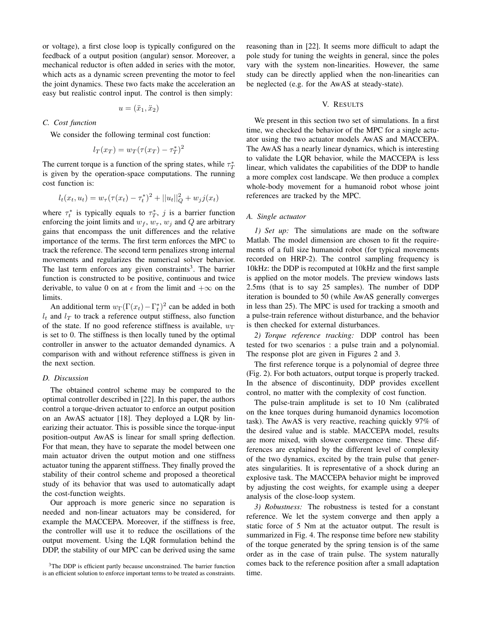or voltage), a first close loop is typically configured on the feedback of a output position (angular) sensor. Moreover, a mechanical reductor is often added in series with the motor, which acts as a dynamic screen preventing the motor to feel the joint dynamics. These two facts make the acceleration an easy but realistic control input. The control is then simply:

$$
u=(\ddot{x}_1,\ddot{x}_2)
$$

### C. Cost function

We consider the following terminal cost function:

$$
l_T(x_T) = w_T(\tau(x_T) - \tau_T^*)^2
$$

The current torque is a function of the spring states, while  $\tau_T^*$ is given by the operation-space computations. The running cost function is:

$$
l_t(x_t, u_t) = w_\tau (\tau(x_t) - \tau_t^*)^2 + ||u_t||_Q^2 + w_j j(x_t)
$$

where  $\tau_t^*$  is typically equals to  $\tau_T^*$ , j is a barrier function enforcing the joint limits and  $w_f$ ,  $w_{\tau}$ ,  $w_i$  and Q are arbitrary gains that encompass the unit differences and the relative importance of the terms. The first term enforces the MPC to track the reference. The second term penalizes strong internal movements and regularizes the numerical solver behavior. The last term enforces any given constraints<sup>3</sup>. The barrier function is constructed to be positive, continuous and twice derivable, to value 0 on at  $\epsilon$  from the limit and  $+\infty$  on the limits.

An additional term  $w_{\Gamma}(\Gamma(x_t) - \Gamma_t^*)^2$  can be added in both  $l_t$  and  $l_T$  to track a reference output stiffness, also function of the state. If no good reference stiffness is available,  $w_{\Gamma}$ is set to 0. The stiffness is then locally tuned by the optimal controller in answer to the actuator demanded dynamics. A comparison with and without reference stiffness is given in the next section.

# D. Discussion

The obtained control scheme may be compared to the optimal controller described in [22]. In this paper, the authors control a torque-driven actuator to enforce an output position on an AwAS actuator [18]. They deployed a LQR by linearizing their actuator. This is possible since the torque-input position-output AwAS is linear for small spring deflection. For that mean, they have to separate the model between one main actuator driven the output motion and one stiffness actuator tuning the apparent stiffness. They finally proved the stability of their control scheme and proposed a theoretical study of its behavior that was used to automatically adapt the cost-function weights.

Our approach is more generic since no separation is needed and non-linear actuators may be considered, for example the MACCEPA. Moreover, if the stiffness is free, the controller will use it to reduce the oscillations of the output movement. Using the LQR formulation behind the DDP, the stability of our MPC can be derived using the same

<sup>3</sup>The DDP is efficient partly because unconstrained. The barrier function is an efficient solution to enforce important terms to be treated as constraints.

reasoning than in [22]. It seems more difficult to adapt the pole study for tuning the weights in general, since the poles vary with the system non-linearities. However, the same study can be directly applied when the non-linearities can be neglected (e.g. for the AwAS at steady-state).

# V. RESULTS

We present in this section two set of simulations. In a first time, we checked the behavior of the MPC for a single actuator using the two actuator models AwAS and MACCEPA. The AwAS has a nearly linear dynamics, which is interesting to validate the LQR behavior, while the MACCEPA is less linear, which validates the capabilities of the DDP to handle a more complex cost landscape. We then produce a complex whole-body movement for a humanoid robot whose joint references are tracked by the MPC.

#### A. Single actuator

1) Set up: The simulations are made on the software Matlab. The model dimension are chosen to fit the requirements of a full size humanoid robot (for typical movements recorded on HRP-2). The control sampling frequency is 10kHz: the DDP is recomputed at 10kHz and the first sample is applied on the motor models. The preview windows lasts 2.5ms (that is to say 25 samples). The number of DDP iteration is bounded to 50 (while AwAS generally converges in less than 25). The MPC is used for tracking a smooth and a pulse-train reference without disturbance, and the behavior is then checked for external disturbances.

2) Torque reference tracking: DDP control has been tested for two scenarios : a pulse train and a polynomial. The response plot are given in Figures 2 and 3.

The first reference torque is a polynomial of degree three (Fig. 2). For both actuators, output torque is properly tracked. In the absence of discontinuity, DDP provides excellent control, no matter with the complexity of cost function.

The pulse-train amplitude is set to 10 Nm (calibrated on the knee torques during humanoid dynamics locomotion task). The AwAS is very reactive, reaching quickly 97% of the desired value and is stable. MACCEPA model, results are more mixed, with slower convergence time. These differences are explained by the different level of complexity of the two dynamics, excited by the train pulse that generates singularities. It is representative of a shock during an explosive task. The MACCEPA behavior might be improved by adjusting the cost weights, for example using a deeper analysis of the close-loop system.

3) Robustness: The robustness is tested for a constant reference. We let the system converge and then apply a static force of 5 Nm at the actuator output. The result is summarized in Fig. 4. The response time before new stability of the torque generated by the spring tension is of the same order as in the case of train pulse. The system naturally comes back to the reference position after a small adaptation time.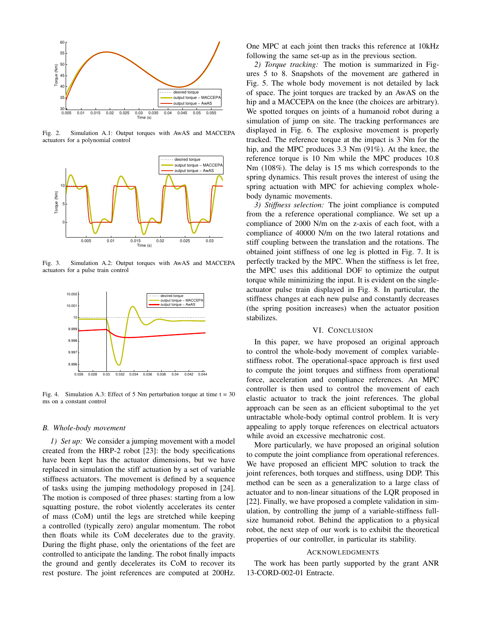

Fig. 2. Simulation A.1: Output torques with AwAS and MACCEPA actuators for a polynomial control



Fig. 3. Simulation A.2: Output torques with AwAS and MACCEPA actuators for a pulse train control



Fig. 4. Simulation A.3: Effect of 5 Nm perturbation torque at time  $t = 30$ ms on a constant control

#### B. Whole-body movement

1) Set up: We consider a jumping movement with a model created from the HRP-2 robot [23]: the body specifications have been kept has the actuator dimensions, but we have replaced in simulation the stiff actuation by a set of variable stiffness actuators. The movement is defined by a sequence of tasks using the jumping methodology proposed in [24]. The motion is composed of three phases: starting from a low squatting posture, the robot violently accelerates its center of mass (CoM) until the legs are stretched while keeping a controlled (typically zero) angular momentum. The robot then floats while its CoM decelerates due to the gravity. During the flight phase, only the orientations of the feet are controlled to anticipate the landing. The robot finally impacts the ground and gently decelerates its CoM to recover its rest posture. The joint references are computed at 200Hz.

One MPC at each joint then tracks this reference at 10kHz following the same set-up as in the previous section.

2) Torque tracking: The motion is summarized in Figures 5 to 8. Snapshots of the movement are gathered in Fig. 5. The whole body movement is not detailed by lack of space. The joint torques are tracked by an AwAS on the hip and a MACCEPA on the knee (the choices are arbitrary). We spotted torques on joints of a humanoid robot during a simulation of jump on site. The tracking performances are displayed in Fig. 6. The explosive movement is properly tracked. The reference torque at the impact is 3 Nm for the hip, and the MPC produces  $3.3$  Nm  $(91\%)$ . At the knee, the reference torque is 10 Nm while the MPC produces 10.8 Nm (108%). The delay is 15 ms which corresponds to the spring dynamics. This result proves the interest of using the spring actuation with MPC for achieving complex wholebody dynamic movements.

3) Stiffness selection: The joint compliance is computed from the a reference operational compliance. We set up a compliance of 2000 N/m on the z-axis of each foot, with a compliance of 40000 N/m on the two lateral rotations and stiff coupling between the translation and the rotations. The obtained joint stiffness of one leg is plotted in Fig. 7. It is perfectly tracked by the MPC. When the stiffness is let free, the MPC uses this additional DOF to optimize the output torque while minimizing the input. It is evident on the singleactuator pulse train displayed in Fig. 8. In particular, the stiffness changes at each new pulse and constantly decreases (the spring position increases) when the actuator position stabilizes.

#### VI. CONCLUSION

In this paper, we have proposed an original approach to control the whole-body movement of complex variablestiffness robot. The operational-space approach is first used to compute the joint torques and stiffness from operational force, acceleration and compliance references. An MPC controller is then used to control the movement of each elastic actuator to track the joint references. The global approach can be seen as an efficient suboptimal to the yet untractable whole-body optimal control problem. It is very appealing to apply torque references on electrical actuators while avoid an excessive mechatronic cost.

More particularly, we have proposed an original solution to compute the joint compliance from operational references. We have proposed an efficient MPC solution to track the joint references, both torques and stiffness, using DDP. This method can be seen as a generalization to a large class of actuator and to non-linear situations of the LOR proposed in [22]. Finally, we have proposed a complete validation in simulation, by controlling the jump of a variable-stiffness fullsize humanoid robot. Behind the application to a physical robot, the next step of our work is to exhibit the theoretical properties of our controller, in particular its stability.

#### **ACKNOWLEDGMENTS**

The work has been partly supported by the grant ANR 13-CORD-002-01 Entracte.